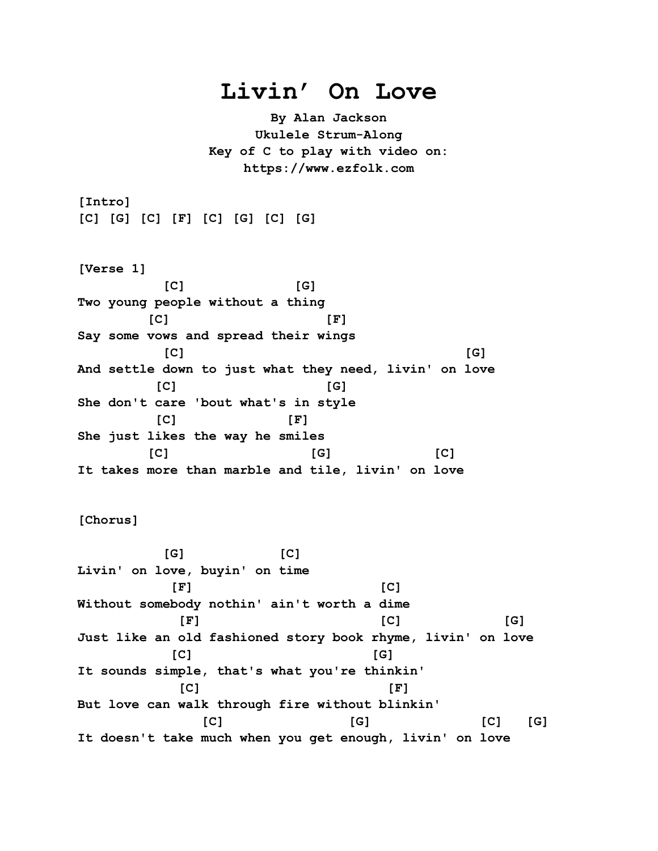## **Livin' On Love**

**By Alan Jackson Ukulele Strum-Along Key of C to play with video on: https://www.ezfolk.com**

**[Intro] [C] [G] [C] [F] [C] [G] [C] [G]**

**[Verse 1] [C] [G] Two young people without a thing [C] [F] Say some vows and spread their wings [C] [G] And settle down to just what they need, livin' on love [C] [G] She don't care 'bout what's in style [C] [F] She just likes the way he smiles [C] [G] [C] It takes more than marble and tile, livin' on love**

**[Chorus]**

 **[G] [C] Livin' on love, buyin' on time [F] [C] Without somebody nothin' ain't worth a dime [F] [C] [G] Just like an old fashioned story book rhyme, livin' on love [C] [G] It sounds simple, that's what you're thinkin' [C] [F] But love can walk through fire without blinkin' [C] [G] [C] [G] It doesn't take much when you get enough, livin' on love**